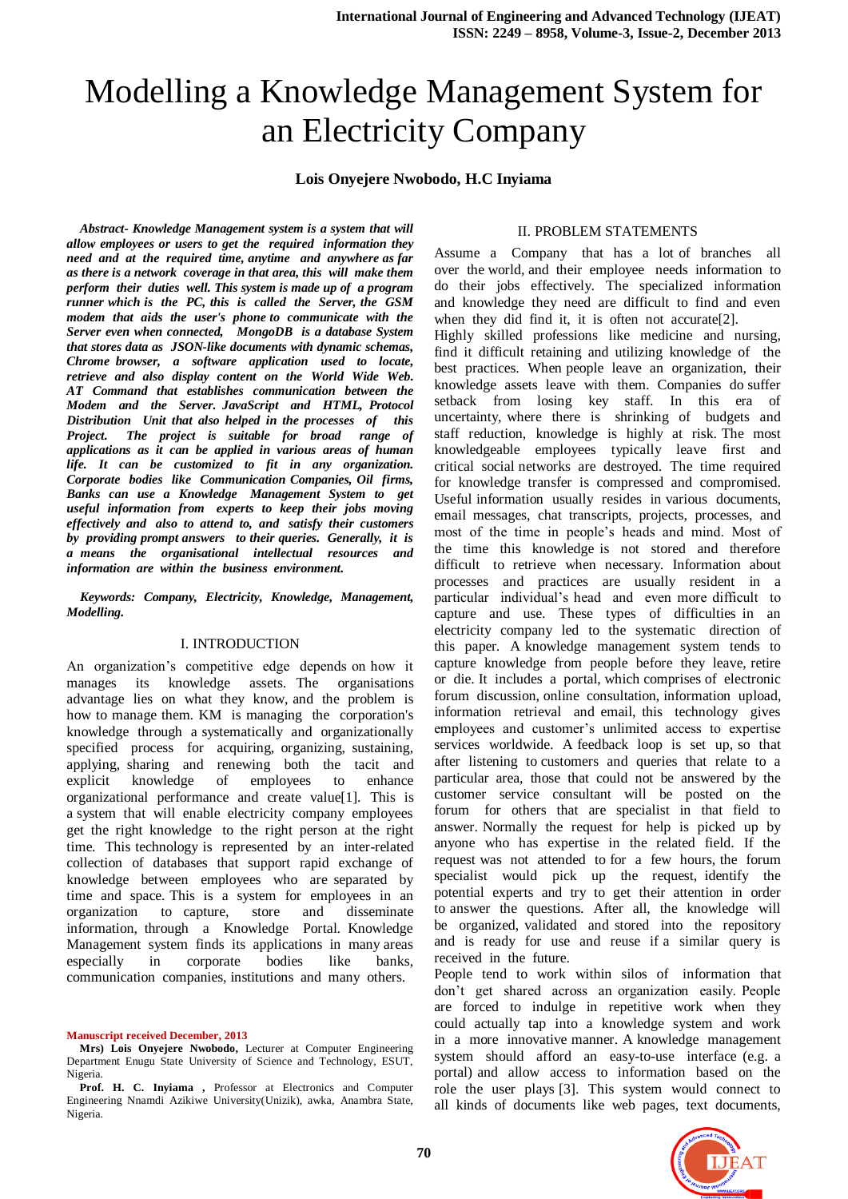# Modelling a Knowledge Management System for an Electricity Company

#### **Lois Onyejere Nwobodo, H.C Inyiama**

*Abstract- Knowledge Management system is a system that will allow employees or users to get the required information they need and at the required time, anytime and anywhere as far as there is a network coverage in that area, this will make them perform their duties well. This system is made up of a program runner which is the PC, this is called the Server, the GSM modem that aids the user's phone to communicate with the Server even when connected, MongoDB is a database System that stores data as [JSON-](http://en.wikipedia.org/wiki/JSON)like documents with dynamic schemas, Chrome browser, a [software application](http://www.webopedia.com/TERM/A/application.html) used to locate, retrieve and also display content on the [World Wide Web.](http://www.webopedia.com/TERM/W/World_Wide_Web.html) AT Command that establishes communication between the Modem and the Server. JavaScript and HTML, Protocol Distribution Unit that also helped in the processes of this Project. The project is suitable for broad range of applications as it can be applied in various areas of human life. It can be customized to fit in any organization. Corporate bodies like Communication Companies, Oil firms, Banks can use a Knowledge Management System to get useful information from experts to keep their jobs moving effectively and also to attend to, and satisfy their customers by providing prompt answers to their queries. Generally, it is a means the organisational intellectual resources and information are within the business environment.*

*Keywords: Company, Electricity, Knowledge, Management, Modelling.*

#### I. INTRODUCTION

An organization's competitive edge depends on how it manages its knowledge assets. The organisations advantage lies on what they know, and the problem is how to manage them. KM is managing the corporation's knowledge through a systematically and organizationally specified process for acquiring, organizing, sustaining, applying, sharing and renewing both the [tacit](http://www.knowledge-management-tools.net/different-types-of-knowledge.html) and [explicit knowledge](http://www.knowledge-management-tools.net/different-types-of-knowledge.html) of employees to enhance organizational performance and create value[1]. This is a system that will enable electricity company employees get the right knowledge to the right person at the right time. This technology is represented by an inter-related collection of databases that support rapid exchange of knowledge between employees who are separated by time and space. This is a system for employees in an organization to capture, store and disseminate information, through a Knowledge Portal. Knowledge Management system finds its applications in many areas especially in corporate bodies like banks, communication companies, institutions and many others.

#### **Manuscript received December, 2013**

#### II. PROBLEM STATEMENTS

Assume a Company that has a lot of branches all over the world, and their employee needs information to do their jobs effectively. The specialized information and knowledge they need are difficult to find and even when they did find it, it is often not accurate[2].

Highly skilled professions like medicine and nursing, find it difficult retaining and utilizing knowledge of the best practices. When people leave an organization, their knowledge assets leave with them. Companies do suffer setback from losing key staff. In this era of uncertainty, where there is shrinking of budgets and staff reduction, knowledge is highly at risk. The most knowledgeable employees typically leave first and critical social networks are destroyed. The time required for knowledge transfer is compressed and compromised. Useful information usually resides in various documents, email messages, chat transcripts, projects, processes, and most of the time in people's heads and mind. Most of the time this knowledge is not stored and therefore difficult to retrieve when necessary. Information about processes and practices are usually resident in a particular individual's head and even more difficult to capture and use. These types of difficulties in an electricity company led to the systematic direction of this paper. A knowledge management system tends to capture knowledge from people before they leave, retire or die. It includes a portal, which comprises of electronic forum discussion, online consultation, information upload, information retrieval and email, this technology gives employees and customer's unlimited access to expertise services worldwide. A feedback loop is set up, so that after listening to customers and queries that relate to a particular area, those that could not be answered by the customer service consultant will be posted on the forum for others that are specialist in that field to answer. Normally the request for help is picked up by anyone who has expertise in the related field. If the request was not attended to for a few hours, the forum specialist would pick up the request, identify the potential experts and try to get their attention in order to answer the questions. After all, the knowledge will be organized, validated and stored into the repository and is ready for use and reuse if a similar query is received in the future.

People tend to work within silos of information that don't get shared across an organization easily. People are forced to indulge in repetitive work when they could actually tap into a knowledge system and work in a more innovative manner. A knowledge management system should afford an easy-to-use interface (e.g. a portal) and allow access to information based on the role the user plays [3]. This system would connect to all kinds of documents like web pages, text documents,



**Mrs) Lois Onyejere Nwobodo,** Lecturer at Computer Engineering Department Enugu State University of Science and Technology, ESUT, Nigeria.

Prof. H. C. Inyiama, Professor at Electronics and Computer Engineering Nnamdi Azikiwe University(Unizik), awka, Anambra State, Nigeria.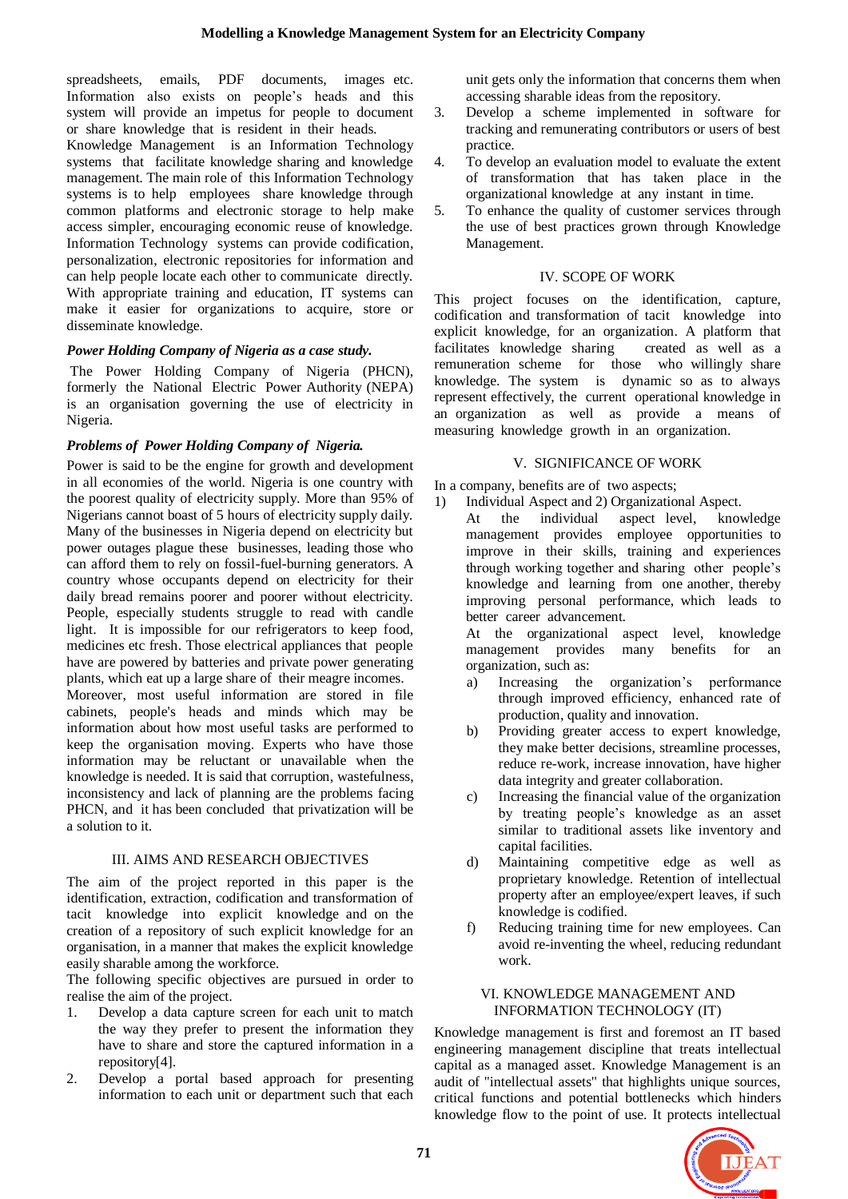spreadsheets, emails, PDF documents, images etc. Information also exists on people's heads and this system will provide an impetus for people to document or share knowledge that is resident in their heads.

Knowledge Management is an Information Technology systems that facilitate knowledge sharing and knowledge management. The main role of this Information Technology systems is to help employees share knowledge through common platforms and [electronic storage](http://en.wikipedia.org/wiki/Electronic_storage) to help make access simpler, encouraging economic reuse of knowledge. Information Technology systems can provide codification, personalization, electronic repositories for information and can help people locate each other to communicate directly. With appropriate training and education, IT systems can make it easier for organizations to acquire, store or disseminate knowledge.

## *Power Holding Company of Nigeria as a case study.*

The Power Holding Company of Nigeria (PHCN), formerly the National Electric Power Authority (NEPA) is an organisation governing the use of electricity in [Nigeria.](http://en.wikipedia.org/wiki/Nigeria)

## *Problems of Power Holding Company of Nigeria.*

Power is said to be the engine for growth and development in all economies of the world. Nigeria is one country with the poorest quality of electricity supply. More than 95% of Nigerians cannot boast of 5 hours of electricity supply daily. Many of the businesses in Nigeria depend on electricity but power outages plague these businesses, leading those who can afford them to rely on fossil-fuel-burning generators. A country whose occupants depend on electricity for their daily bread remains poorer and poorer without electricity. People, especially students struggle to read with candle light. It is impossible for our refrigerators to keep food, medicines etc fresh. Those electrical appliances that people have are powered by batteries and private power generating plants, which eat up a large share of their meagre incomes. Moreover, most useful information are stored in file cabinets, people's heads and minds which may be information about how most useful tasks are performed to keep the organisation moving. Experts who have those information may be reluctant or unavailable when the knowledge is needed. It is said that corruption, wastefulness, inconsistency and lack of planning are the problems facing PHCN, and it has been concluded that privatization will be

## III. AIMS AND RESEARCH OBJECTIVES

a solution to it.

The aim of the project reported in this paper is the identification, extraction, codification and transformation of tacit knowledge into explicit knowledge and on the creation of a repository of such explicit knowledge for an organisation, in a manner that makes the explicit knowledge easily sharable among the workforce.

The following specific objectives are pursued in order to realise the aim of the project.

- 1. Develop a data capture screen for each unit to match the way they prefer to present the information they have to share and store the captured information in a repository[4].
- 2. Develop a portal based approach for presenting information to each unit or department such that each

unit gets only the information that concerns them when accessing sharable ideas from the repository.

- 3. Develop a scheme implemented in software for tracking and remunerating contributors or users of best practice.
- 4. To develop an evaluation model to evaluate the extent of transformation that has taken place in the organizational knowledge at any instant in time.
- 5. To enhance the quality of customer services through the use of best practices grown through Knowledge Management.

#### IV. SCOPE OF WORK

This project focuses on the identification, capture, codification and transformation of tacit knowledge into explicit knowledge, for an organization. A platform that facilitates knowledge sharing created as well as a remuneration scheme for those who willingly share knowledge. The system is dynamic so as to always represent effectively, the current operational knowledge in an organization as well as provide a means of measuring knowledge growth in an organization.

## V. SIGNIFICANCE OF WORK

In a company, benefits are of two aspects;

- 1) Individual Aspect and 2) Organizational Aspect.
	- At the individual aspect level, knowledge management provides employee opportunities to improve in their skills, training and experiences through working together and sharing other people's knowledge and learning from one another, thereby improving personal performance, which leads to better career advancement.

At the organizational aspect level, knowledge management provides many benefits for an organization, such as:

- a) Increasing the organization's performance through improved efficiency, enhanced rate of production, quality and innovation.
- b) Providing greater access to expert knowledge, they make better decisions, streamline processes, reduce re-work, increase innovation, have higher data integrity and greater collaboration.
- c) Increasing the financial value of the organization by treating people's knowledge as an asset similar to traditional assets like inventory and capital facilities.
- d) Maintaining competitive edge as well as proprietary knowledge. Retention of intellectual property after an employee/expert leaves, if such knowledge is codified.
- f) Reducing training time for new employees. Can avoid re-inventing the wheel, reducing redundant work.

#### VI. KNOWLEDGE MANAGEMENT AND INFORMATION TECHNOLOGY (IT)

Knowledge management is first and foremost an IT based engineering management discipline that treats intellectual capital as a managed asset. Knowledge Management is an audit of ''intellectual assets'' that highlights unique sources, critical functions and potential bottlenecks which hinders knowledge flow to the point of use. It protects intellectual

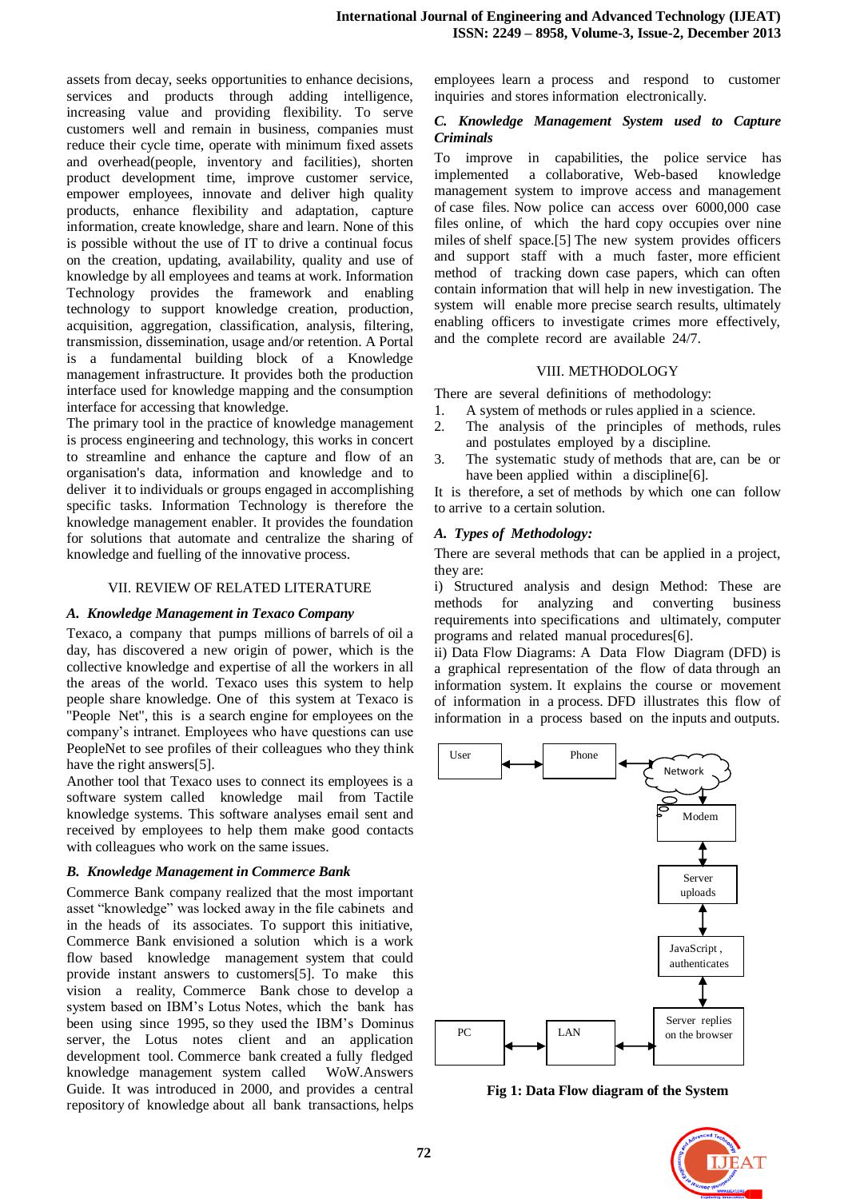assets from decay, seeks opportunities to enhance decisions, services and products through adding intelligence, increasing value and providing flexibility. To serve customers well and remain in business, companies must reduce their cycle time, operate with minimum fixed assets and overhead(people, inventory and facilities), shorten product development time, improve customer service, empower employees, innovate and deliver high quality products, enhance flexibility and adaptation, capture information, create knowledge, share and learn. None of this is possible without the use of IT to drive a continual focus on the creation, updating, availability, quality and use of knowledge by all employees and teams at work. Information Technology provides the framework and enabling technology to support knowledge creation, production, acquisition, aggregation, classification, analysis, filtering, transmission, dissemination, usage and/or retention. A Portal is a fundamental building block of a Knowledge management infrastructure. It provides both the production interface used for knowledge mapping and the consumption interface for accessing that knowledge.

The primary tool in the practice of knowledge management is process engineering and technology, this works in concert to streamline and enhance the capture and flow of an organisation's data, information and knowledge and to deliver it to individuals or groups engaged in accomplishing specific tasks. Information Technology is therefore the knowledge management enabler. It provides the foundation for solutions that automate and centralize the sharing of knowledge and fuelling of the innovative process.

#### VII. REVIEW OF RELATED LITERATURE

#### *A. Knowledge Management in Texaco Company*

Texaco, a company that pumps millions of barrels of oil a day, has discovered a new origin of power, which is the collective knowledge and expertise of all the workers in all the areas of the world. Texaco uses this system to help people share knowledge. One of this system at Texaco is ''People Net'', this is a search engine for employees on the company's intranet. Employees who have questions can use PeopleNet to see profiles of their colleagues who they think have the right answers[5].

Another tool that Texaco uses to connect its employees is a software system called knowledge mail from Tactile knowledge systems. This software analyses email sent and received by employees to help them make good contacts with colleagues who work on the same issues.

## *B. Knowledge Management in Commerce Bank*

Commerce Bank company realized that the most important asset "knowledge" was locked away in the file cabinets and in the heads of its associates. To support this initiative, Commerce Bank envisioned a solution which is a work flow based knowledge management system that could provide instant answers to customers[5]. To make this vision a reality, Commerce Bank chose to develop a system based on IBM's Lotus Notes, which the bank has been using since 1995, so they used the IBM's Dominus server, the Lotus notes client and an application development tool. Commerce bank created a fully fledged knowledge management system called WoW.Answers Guide. It was introduced in 2000, and provides a central repository of knowledge about all bank transactions, helps

employees learn a process and respond to customer inquiries and stores information electronically.

#### *C. Knowledge Management System used to Capture Criminals*

To improve in capabilities, the police service has implemented a collaborative, Web-based knowledge management system to improve access and management of case files. Now police can access over 6000,000 case files online, of which the hard copy occupies over nine miles of shelf space.[5] The new system provides officers and support staff with a much faster, more efficient method of tracking down case papers, which can often contain information that will help in new investigation. The system will enable more precise search results, ultimately enabling officers to investigate crimes more effectively, and the complete record are available 24/7.

## VIII. METHODOLOGY

There are several definitions of methodology:

- 1. A system of methods or rules applied in a science.
- 2. The analysis of the principles of methods, rules and postulates employed by a discipline.
- 3. The systematic study of methods that are, can be or have been applied within a discipline [6].

It is therefore, a set of methods by which one can follow to arrive to a certain solution.

## *A. Types of Methodology:*

There are several methods that can be applied in a project, they are:

i) Structured analysis and design Method: These are methods for analyzing and converting business requirements into specifications and ultimately, computer programs and related manual procedures[6].

ii) Data Flow Diagrams: A Data Flow Diagram (DFD) is a graphical representation of the flow of data through an information system. It explains the course or movement of information in a process. DFD illustrates this flow of information in a process based on the inputs and outputs.



**Fig 1: Data Flow diagram of the System**

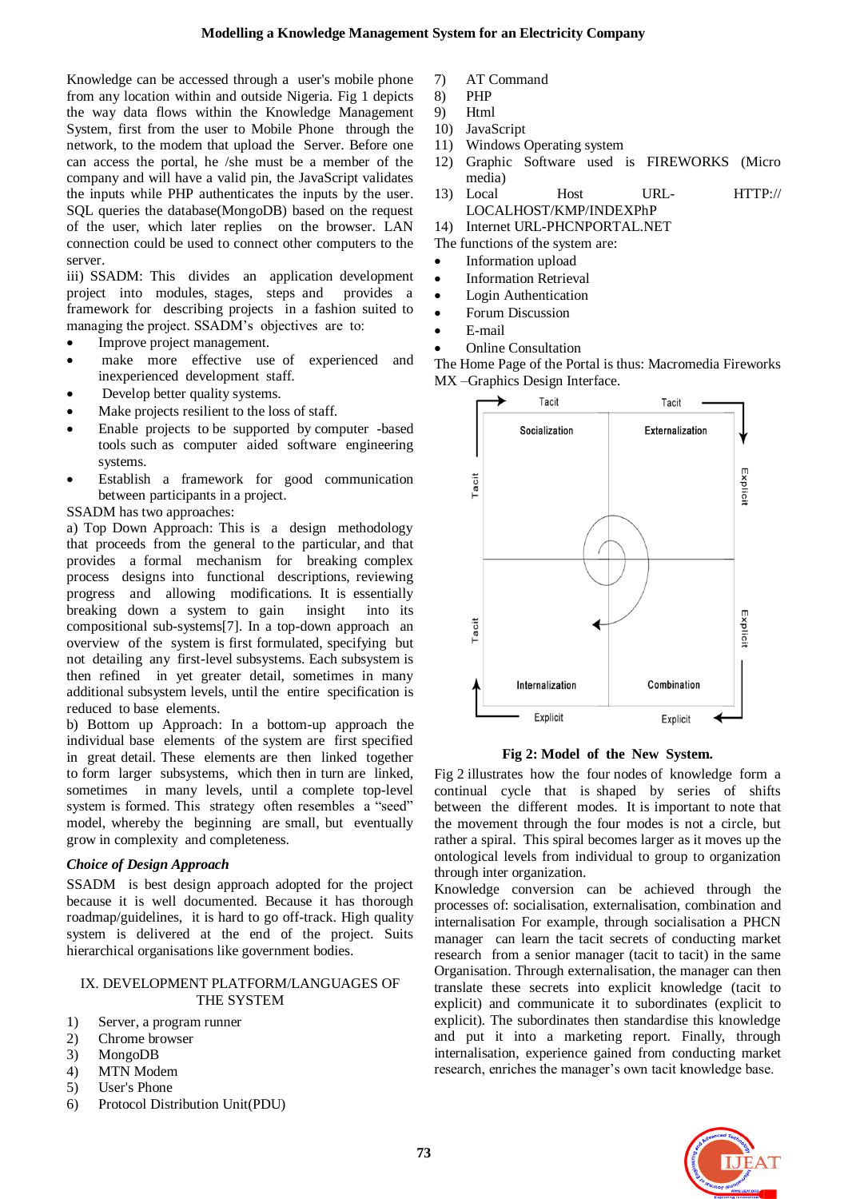Knowledge can be accessed through a user's mobile phone from any location within and outside Nigeria. Fig 1 depicts the way data flows within the Knowledge Management System, first from the user to Mobile Phone through the network, to the modem that upload the Server. Before one can access the portal, he /she must be a member of the company and will have a valid pin, the JavaScript validates the inputs while PHP authenticates the inputs by the user. SQL queries the database(MongoDB) based on the request of the user, which later replies on the browser. LAN connection could be used to connect other computers to the server.

iii) SSADM: This divides an application development project into modules, stages, steps and provides a framework for describing projects in a fashion suited to managing the project. SSADM's objectives are to:

- Improve project management.
- make more effective use of experienced and inexperienced development staff.
- Develop better quality systems.
- Make projects resilient to the loss of staff.
- Enable projects to be supported by computer -based tools such as computer aided software engineering systems.
- Establish a framework for good communication between participants in a project.

## SSADM has two approaches:

a) Top Down Approach: This is a design methodology that proceeds from the general to the particular, and that provides a formal mechanism for breaking complex process designs into functional descriptions, reviewing progress and allowing modifications. It is essentially breaking down a system to gain insight into its compositional sub-systems[7]. In a top-down approach an overview of the system is first formulated, specifying but not detailing any first-level subsystems. Each subsystem is then refined in yet greater detail, sometimes in many additional subsystem levels, until the entire specification is reduced to base elements.

b) Bottom up Approach: In a bottom-up approach the individual base elements of the system are first specified in great detail. These elements are then linked together to form larger subsystems, which then in turn are linked, sometimes in many levels, until a complete top-level system is formed. This strategy often resembles a "seed" model, whereby the beginning are small, but eventually grow in complexity and completeness.

## *Choice of Design Approach*

SSADM is best design approach adopted for the project because it is well documented. Because it has thorough roadmap/guidelines, it is hard to go off-track. High quality system is delivered at the end of the project. Suits hierarchical organisations like government bodies.

#### IX. DEVELOPMENT PLATFORM/LANGUAGES OF THE SYSTEM

- 1) Server, a program runner
- 2) Chrome browser
- 3) MongoDB
- 4) MTN Modem
- 5) User's Phone
- 6) Protocol Distribution Unit(PDU)
- 7) AT Command
- 8) PHP
- 9) Html
- 10) JavaScript
- 11) Windows Operating system
- 12) Graphic Software used is FIREWORKS (Micro media)
- 13) Local Host URL- HTTP:// LOCALHOST/KMP/INDEXPhP
- 14) Internet URL-PHCNPORTAL.NET
- The functions of the system are:
- Information upload
- Information Retrieval
- Login Authentication
- Forum Discussion
- E-mail
- Online Consultation

The Home Page of the Portal is thus: Macromedia Fireworks MX –Graphics Design Interface.



**Fig 2: Model of the New System.**

Fig 2 illustrates how the four nodes of knowledge form a continual cycle that is shaped by series of shifts between the different modes. It is important to note that the movement through the four modes is not a circle, but rather a spiral. This spiral becomes larger as it moves up the ontological levels from individual to group to organization through inter organization.

Knowledge conversion can be achieved through the processes of: socialisation, externalisation, combination and internalisation For example, through socialisation a PHCN manager can learn the tacit secrets of conducting market research from a senior manager (tacit to tacit) in the same Organisation. Through externalisation, the manager can then translate these secrets into explicit knowledge (tacit to explicit) and communicate it to subordinates (explicit to explicit). The subordinates then standardise this knowledge and put it into a marketing report. Finally, through internalisation, experience gained from conducting market research, enriches the manager's own tacit knowledge base.

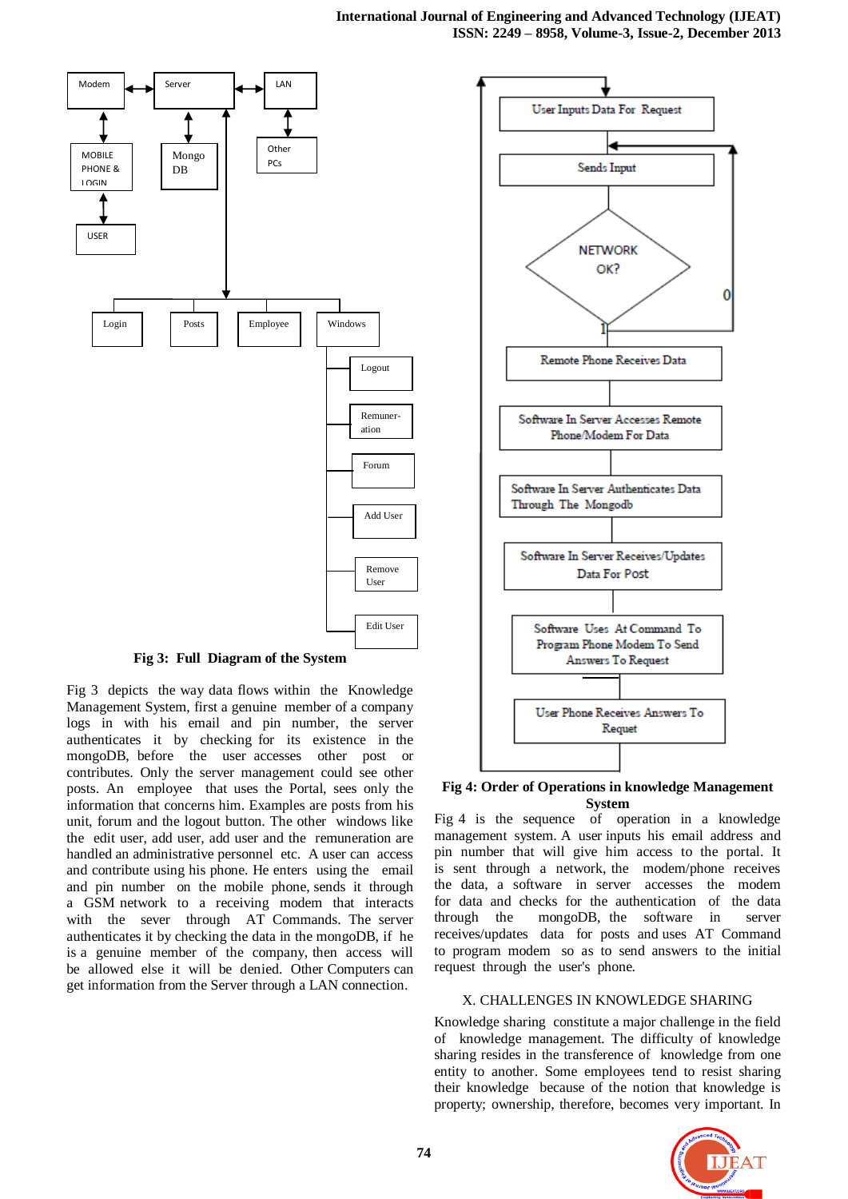

**Fig 3: Full Diagram of the System**

Fig 3 depicts the way data flows within the Knowledge Management System, first a genuine member of a company logs in with his email and pin number, the server authenticates it by checking for its existence in the mongoDB, before the user accesses other post or contributes. Only the server management could see other posts. An employee that uses the Portal, sees only the information that concerns him. Examples are posts from his unit, forum and the logout button. The other windows like the edit user, add user, add user and the remuneration are handled an administrative personnel etc. A user can access and contribute using his phone. He enters using the email and pin number on the mobile phone, sends it through a GSM network to a receiving modem that interacts with the sever through AT Commands. The server authenticates it by checking the data in the mongoDB, if he is a genuine member of the company, then access will be allowed else it will be denied. Other Computers can get information from the Server through a LAN connection.



**Fig 4: Order of Operations in knowledge Management System**

Fig 4 is the sequence of operation in a knowledge management system. A user inputs his email address and pin number that will give him access to the portal. It is sent through a network, the modem/phone receives the data, a software in server accesses the modem for data and checks for the authentication of the data through the mongoDB, the software in server receives/updates data for posts and uses AT Command to program modem so as to send answers to the initial request through the user's phone.

# X. CHALLENGES IN KNOWLEDGE SHARING

Knowledge sharing constitute a major challenge in the field of knowledge management. The difficulty of knowledge sharing resides in the transference of knowledge from one entity to another. Some employees tend to resist sharing their knowledge because of the notion that knowledge is property; ownership, therefore, becomes very important. In